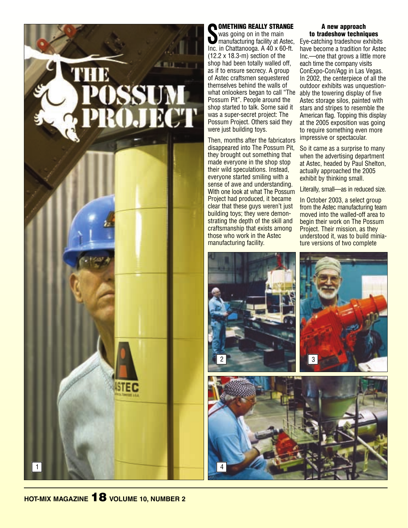

### OMETHING REALLY STRANGE

Was going on in the main<br>
manufacturing facility at Astec<br>
Inc. in Chattanooga. A 40 x 60-ft. was going on in the main manufacturing facility at Astec, (12.2 x 18.3-m) section of the shop had been totally walled off, as if to ensure secrecy. A group of Astec craftsmen sequestered themselves behind the walls of what onlookers began to call "The Possum Pit". People around the shop started to talk. Some said it was a super-secret project: The Possum Project. Others said they were just building toys.

Then, months after the fabricators disappeared into The Possum Pit, they brought out something that made everyone in the shop stop their wild speculations. Instead, everyone started smiling with a sense of awe and understanding. With one look at what The Possum Project had produced, it became clear that these guys weren't just building toys; they were demonstrating the depth of the skill and craftsmanship that exists among those who work in the Astec manufacturing facility.

#### A new approach to tradeshow techniques

Eye-catching tradeshow exhibits have become a tradition for Astec Inc.—one that grows a little more each time the company visits ConExpo-Con/Agg in Las Vegas. In 2002, the centerpiece of all the outdoor exhibits was unquestionably the towering display of five Astec storage silos, painted with stars and stripes to resemble the American flag. Topping this display at the 2005 exposition was going to require something even more impressive or spectacular.

So it came as a surprise to many when the advertising department at Astec, headed by Paul Shelton, actually approached the 2005 exhibit by thinking small.

Literally, small—as in reduced size.

In October 2003, a select group from the Astec manufacturing team moved into the walled-off area to begin their work on The Possum Project. Their mission, as they understood it, was to build miniature versions of two complete



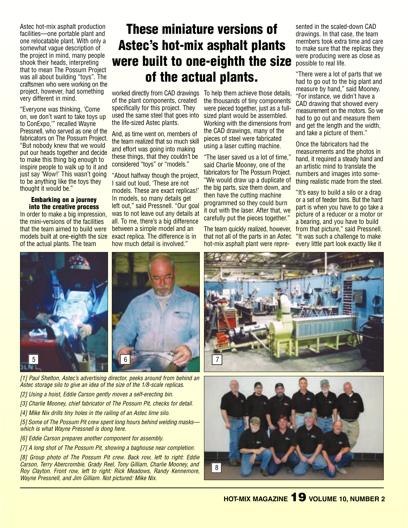Astec hot-mix asphalt production facilities—one portable plant and one relocatable plant. With only a somewhat vague description of the project in mind, many people shook their heads, interpreting that to mean The Possum Project was all about building "toys". The craftsmen who were working on the project, however, had something very different in mind.

"Everyone was thinking, 'Come on, we don't want to take toys up to ConExpo,'" recalled Wayne Pressnell, who served as one of the fabricators on The Possum Project. "But nobody knew that we would put our heads together and decide to make this thing big enough to inspire people to walk up to it and just say 'Wow!' This wasn't going to be anything like the toys they thought it would be."

Embarking on a journey into the creative process

In order to make a big impression, the mini-versions of the facilities that the team aimed to build were models built at one-eighth the size of the actual plants. The team

## These miniature versions of Astec's hot-mix asphalt plants were built to one-eighth the size of the actual plants.

of the plant components, created specifically for this project. They used the same steel that goes into the life-sized Astec plants.

And, as time went on, members of the team realized that so much skill and effort was going into making these things, that they couldn't be considered "toys" or "models."

"About halfway though the project, I said out loud, 'These are not models. These are exact replicas!' In models, so many details get left out," said Pressnell. "Our goal was to not leave out any details at all. To me, there's a big difference between a simple model and an exact replica. The difference is in how much detail is involved."

worked directly from CAD drawings To help them achieve those details, the thousands of tiny components were pieced together, just as a fullsized plant would be assembled. Working with the dimensions from the CAD drawings, many of the pieces of steel were fabricated using a laser cutting machine.

> "The laser saved us a lot of time," said Charlie Mooney, one of the fabricators for The Possum Project. "We would draw up a duplicate of the big parts, size them down, and then have the cutting machine programmed so they could burn it out with the laser. After that, we carefully put the pieces together."

> The team quickly realized, however, that not all of the parts in an Astec hot-mix asphalt plant were repre-

sented in the scaled-down CAD drawings. In that case, the team members took extra time and care to make sure that the replicas they were producing were as close as possible to real life.

"There were a lot of parts that we had to go out to the big plant and measure by hand," said Mooney. "For instance, we didn't have a CAD drawing that showed every measurement on the motors. So we had to go out and measure them and get the length and the width, and take a picture of them."

Once the fabricators had the measurements and the photos in hand, it required a steady hand and an artistic mind to translate the numbers and images into something realistic made from the steel.

"It's easy to build a silo or a drag or a set of feeder bins. But the hard part is when you have to go take a picture of a reducer or a motor or a bearing, and you have to build from that picture," said Pressnell. "It was such a challenge to make every little part look exactly like it



*[1] Paul Shelton, Astec's advertising director, peeks around from behind an Astec storage silo to give an idea of the size of the 1/8-scale replicas.* 

- *[2] Using a hoist, Eddie Carson gently moves a self-erecting bin.*
- *[3] Charlie Mooney, chief fabricator of The Possum Pit, checks for detail.*
- *[4] Mike Nix drills tiny holes in the railing of an Astec lime silo.*

*[5] Some of The Possum Pit crew spent long hours behind welding masks which is what Wayne Pressnell is dong here.*

- *[6] Eddie Carson prepares another component for assembly.*
- *[7] A long shot of The Possum Pit, showing a baghouse near completion.*

*[8] Group photo of The Possum Pit crew. Back row, left to right: Eddie Carson, Terry Abercrombie, Grady Reel, Tony Gilliam, Charlie Mooney, and Roy Clayton. Front row, left to right: Rick Meadows, Randy Kennemore, Wayne Pressnell, and Jim Gilliam. Not pictured: Mike Nix.*



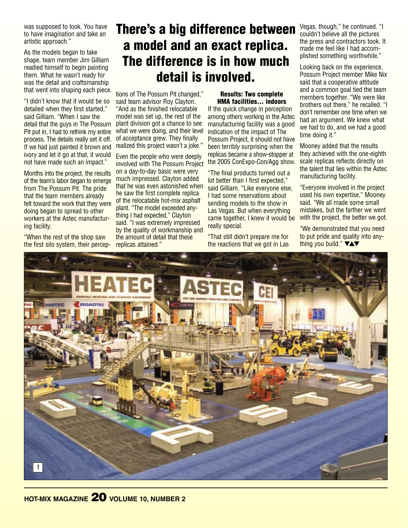was supposed to look. You have to have imagination and take an artistic approach."

As the models began to take shape, team member Jim Gilliam readied himself to begin painting them. What he wasn't ready for was the detail and craftsmanship that went into shaping each piece.

"I didn't know that it would be so detailed when they first started," said Gilliam. "When I saw the detail that the guys in The Possum Pit put in, I had to rethink my entire process. The details really set it off. If we had just painted it brown and ivory and let it go at that, it would not have made such an impact."

Months into the project, the results of the team's labor began to emerge from The Possum Pit. The pride that the team members already felt toward the work that they were doing began to spread to other workers at the Astec manufacturing facility.

"When the rest of the shop saw the first silo system, their percep-

## There's a big difference between a model and an exact replica. The difference is in how much detail is involved.

tions of The Possum Pit changed," said team advisor Roy Clayton. "And as the finished relocatable model was set up, the rest of the plant division got a chance to see what we were doing, and their level of acceptance grew. They finally realized this project wasn't a joke."

Even the people who were deeply involved with The Possum Project on a day-to-day basic were very much impressed. Clayton added that he was even astonished when he saw the first complete replica of the relocatable hot-mix asphalt plant. "The model exceeded anything I had expected," Clayton said. "I was extremely impressed by the quality of workmanship and the amount of detail that these replicas attained."

#### Results: Two complete HMA facilities… indoors

If the quick change in perception among others working in the Astec manufacturing facility was a good indication of the impact of The Possum Project, it should not have been terribly surprising when the replicas became a show-stopper at the 2005 ConExpo-Con/Agg show.

"The final products turned out a lot better than I first expected," said Gilliam. "Like everyone else, I had some reservations about sending models to the show in Las Vegas. But when everything came together, I knew it would be really special.

"That still didn't prepare me for the reactions that we got in Las Vegas, though," he continued. "I couldn't believe all the pictures the press and contractors took. It made me feel like I had accomplished something worthwhile."

Looking back on the experience, Possum Project member Mike Nix said that a cooperative attitude and a common goal tied the team members together. "We were like brothers out there," he recalled. "I don't remember one time when we had an argument. We knew what we had to do, and we had a good time doing it."

Mooney added that the results they achieved with the one-eighth scale replicas reflects directly on the talent that lies within the Astec manufacturing facility.

"Everyone involved in the project used his own expertise," Mooney said. "We all made some small mistakes, but the farther we went with the project, the better we got.

"We demonstrated that you need to put pride and quality into anything you build." **▼▲▼** 

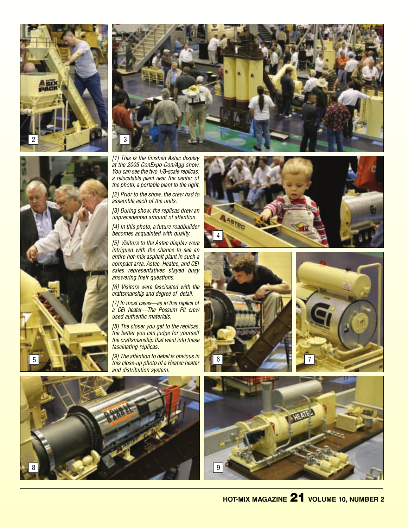





*[1] This is the finished Astec display at the 2005 ConExpo-Con/Agg show. You can see the two 1/8-scale replicas: a relocatable plant near the center of the photo; a portable plant to the right.*

*[2] Prior to the show, the crew had to assemble each of the units.*

*[3] During show, the replicas drew an unprecedented amount of attention.*

*[4] In this photo, a future roadbuilder becomes acquainted with quality.*

*[5] Visitors to the Astec display were intrigued with the chance to see an entire hot-mix asphalt plant in such a compact area. Astec, Heatec, and CEI sales representatives stayed busy answering their questions.*

*[6] Visitors were fascinated with the craftsmanship and degree of detail.*

*[7] In most cases—as in this replica of a CEI heater—The Possum Pit crew used authentic materials.*

*[8] The closer you get to the replicas, the better you can judge for yourself the craftsmanship that went into these fascinating replicas.*

*[9] The attention to detail is obvious in and distribution system.*









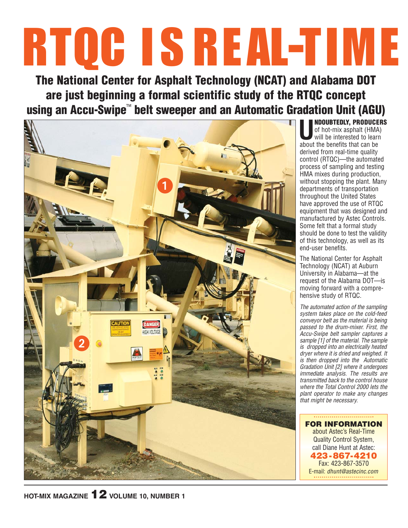# RTQC I S R EAL-TIM E

The National Center for Asphalt Technology (NCAT) and Alabama DOT are just beginning a formal scientific study of the RTQC concept using an Accu-Swipe™ belt sweeper and an Automatic Gradation Unit (AGU) **U**NDOUBTEDLY, PRODUCERS



of hot-mix asphalt (HMA) will be interested to learn about the benefits that can be derived from real-time quality control (RTQC)—the automated process of sampling and testing HMA mixes during production, without stopping the plant. Many departments of transportation throughout the United States have approved the use of RTQC equipment that was designed and manufactured by Astec Controls. Some felt that a formal study should be done to test the validity of this technology, as well as its end-user benefits.

The National Center for Asphalt Technology (NCAT) at Auburn University in Alabama—at the request of the Alabama DOT—is moving forward with a comprehensive study of RTQC.

*The automated action of the sampling system takes place on the cold-feed conveyor belt as the material is being passed to the drum-mixer. First, the Accu-Swipe belt sampler captures a sample [1] of the material. The sample is dropped into an electrically heated dryer where it is dried and weighed. It is then dropped into the Automatic Gradation Unit [2] where it undergoes immediate analysis. The results are transmitted back to the control house where the Total Control 2000 lets the plant operator to make any changes that might be necessary.*

FOR INFORMATION about Astec's Real-Time Quality Control System, call Diane Hunt at Astec: 423-867-4210 Fax: 423-867-3570 E-mail: *dhunt@astecinc.com*